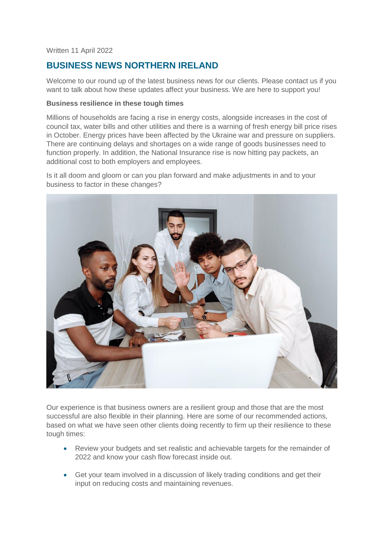Written 11 April 2022

# **BUSINESS NEWS NORTHERN IRELAND**

Welcome to our round up of the latest business news for our clients. Please contact us if you want to talk about how these updates affect your business. We are here to support you!

# **Business resilience in these tough times**

Millions of households are facing a rise in energy costs, alongside increases in the cost of council tax, water bills and other utilities and there is a warning of fresh energy bill price rises in October. Energy prices have been affected by the Ukraine war and pressure on suppliers. There are continuing delays and shortages on a wide range of goods businesses need to function properly. In addition, the National Insurance rise is now hitting pay packets, an additional cost to both employers and employees.

Is it all doom and gloom or can you plan forward and make adjustments in and to your business to factor in these changes?



Our experience is that business owners are a resilient group and those that are the most successful are also flexible in their planning. Here are some of our recommended actions, based on what we have seen other clients doing recently to firm up their resilience to these tough times:

- Review your budgets and set realistic and achievable targets for the remainder of 2022 and know your cash flow forecast inside out.
- Get your team involved in a discussion of likely trading conditions and get their input on reducing costs and maintaining revenues.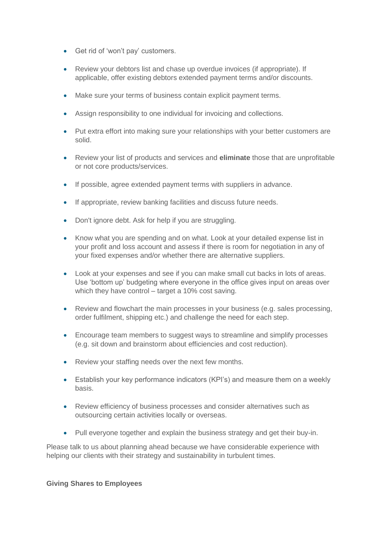- Get rid of 'won't pay' customers.
- Review your debtors list and chase up overdue invoices (if appropriate). If applicable, offer existing debtors extended payment terms and/or discounts.
- Make sure your terms of business contain explicit payment terms.
- Assign responsibility to one individual for invoicing and collections.
- Put extra effort into making sure your relationships with your better customers are solid.
- Review your list of products and services and **eliminate** those that are unprofitable or not core products/services.
- If possible, agree extended payment terms with suppliers in advance.
- If appropriate, review banking facilities and discuss future needs.
- Don't ignore debt. Ask for help if you are struggling.
- Know what you are spending and on what. Look at your detailed expense list in your profit and loss account and assess if there is room for negotiation in any of your fixed expenses and/or whether there are alternative suppliers.
- Look at your expenses and see if you can make small cut backs in lots of areas. Use 'bottom up' budgeting where everyone in the office gives input on areas over which they have control – target a 10% cost saving.
- Review and flowchart the main processes in your business (e.g. sales processing, order fulfilment, shipping etc.) and challenge the need for each step.
- Encourage team members to suggest ways to streamline and simplify processes (e.g. sit down and brainstorm about efficiencies and cost reduction).
- Review your staffing needs over the next few months.
- Establish your key performance indicators (KPI's) and measure them on a weekly basis.
- Review efficiency of business processes and consider alternatives such as outsourcing certain activities locally or overseas.
- Pull everyone together and explain the business strategy and get their buy-in.

Please talk to us about planning ahead because we have considerable experience with helping our clients with their strategy and sustainability in turbulent times.

## **Giving Shares to Employees**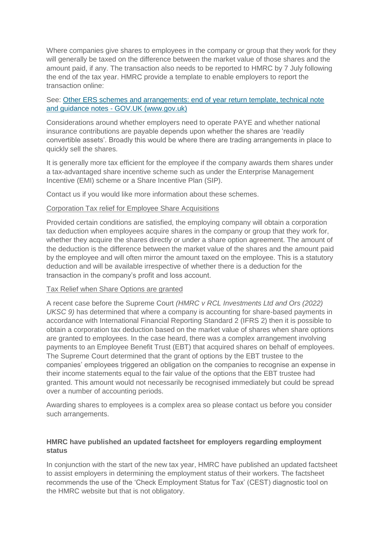Where companies give shares to employees in the company or group that they work for they will generally be taxed on the difference between the market value of those shares and the amount paid, if any. The transaction also needs to be reported to HMRC by 7 July following the end of the tax year. HMRC provide a template to enable employers to report the transaction online:

# See: [Other ERS schemes and arrangements: end of year return template, technical note](https://www.gov.uk/government/publications/other-employment-related-securities-schemes-and-arrangements-end-of-year-return-template)  and guidance notes - [GOV.UK \(www.gov.uk\)](https://www.gov.uk/government/publications/other-employment-related-securities-schemes-and-arrangements-end-of-year-return-template)

Considerations around whether employers need to operate PAYE and whether national insurance contributions are payable depends upon whether the shares are 'readily convertible assets'. Broadly this would be where there are trading arrangements in place to quickly sell the shares.

It is generally more tax efficient for the employee if the company awards them shares under a tax-advantaged share incentive scheme such as under the Enterprise Management Incentive (EMI) scheme or a Share Incentive Plan (SIP).

Contact us if you would like more information about these schemes.

#### Corporation Tax relief for Employee Share Acquisitions

Provided certain conditions are satisfied, the employing company will obtain a corporation tax deduction when employees acquire shares in the company or group that they work for, whether they acquire the shares directly or under a share option agreement. The amount of the deduction is the difference between the market value of the shares and the amount paid by the employee and will often mirror the amount taxed on the employee. This is a statutory deduction and will be available irrespective of whether there is a deduction for the transaction in the company's profit and loss account.

#### Tax Relief when Share Options are granted

A recent case before the Supreme Court *(HMRC v RCL Investments Ltd and Ors (2022) UKSC 9)* has determined that where a company is accounting for share-based payments in accordance with International Financial Reporting Standard 2 (IFRS 2) then it is possible to obtain a corporation tax deduction based on the market value of shares when share options are granted to employees. In the case heard, there was a complex arrangement involving payments to an Employee Benefit Trust (EBT) that acquired shares on behalf of employees. The Supreme Court determined that the grant of options by the EBT trustee to the companies' employees triggered an obligation on the companies to recognise an expense in their income statements equal to the fair value of the options that the EBT trustee had granted. This amount would not necessarily be recognised immediately but could be spread over a number of accounting periods.

Awarding shares to employees is a complex area so please contact us before you consider such arrangements.

## **HMRC have published an updated factsheet for employers regarding employment status**

In conjunction with the start of the new tax year, HMRC have published an updated factsheet to assist employers in determining the employment status of their workers. The factsheet recommends the use of the 'Check Employment Status for Tax' (CEST) diagnostic tool on the HMRC website but that is not obligatory.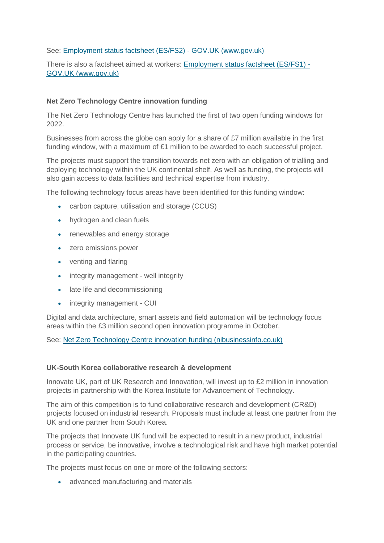## See: [Employment status factsheet \(ES/FS2\) -](https://www.gov.uk/government/publications/employment-status-factsheet-esfs1/employment-status-factsheet-esfs2) GOV.UK (www.gov.uk)

There is also a factsheet aimed at workers: [Employment status factsheet \(ES/FS1\) -](https://www.gov.uk/government/publications/employment-status-factsheet-esfs1/employment-status-factsheet-esfs1) [GOV.UK \(www.gov.uk\)](https://www.gov.uk/government/publications/employment-status-factsheet-esfs1/employment-status-factsheet-esfs1)

# **Net Zero Technology Centre innovation funding**

The Net Zero Technology Centre has launched the first of two open funding windows for 2022.

Businesses from across the globe can apply for a share of £7 million available in the first funding window, with a maximum of £1 million to be awarded to each successful project.

The projects must support the transition towards net zero with an obligation of trialling and deploying technology within the UK continental shelf. As well as funding, the projects will also gain access to data facilities and technical expertise from industry.

The following technology focus areas have been identified for this funding window:

- carbon capture, utilisation and storage (CCUS)
- hydrogen and clean fuels
- renewables and energy storage
- zero emissions power
- venting and flaring
- integrity management well integrity
- late life and decommissioning
- integrity management CUI

Digital and data architecture, smart assets and field automation will be technology focus areas within the £3 million second open innovation programme in October.

See: [Net Zero Technology Centre innovation funding \(nibusinessinfo.co.uk\)](https://www.nibusinessinfo.co.uk/content/net-zero-technology-centre-innovation-funding)

## **UK-South Korea collaborative research & development**

Innovate UK, part of UK Research and Innovation, will invest up to £2 million in innovation projects in partnership with the Korea Institute for Advancement of Technology.

The aim of this competition is to fund collaborative research and development (CR&D) projects focused on industrial research. Proposals must include at least one partner from the UK and one partner from South Korea.

The projects that Innovate UK fund will be expected to result in a new product, industrial process or service, be innovative, involve a technological risk and have high market potential in the participating countries.

The projects must focus on one or more of the following sectors:

• advanced manufacturing and materials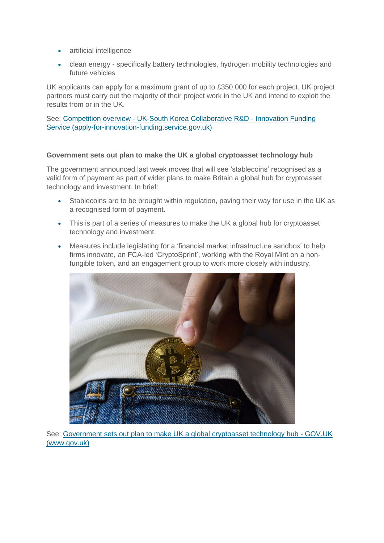- artificial intelligence
- clean energy specifically battery technologies, hydrogen mobility technologies and future vehicles

UK applicants can apply for a maximum grant of up to £350,000 for each project. UK project partners must carry out the majority of their project work in the UK and intend to exploit the results from or in the UK.

See: Competition overview - [UK-South Korea Collaborative R&D -](https://apply-for-innovation-funding.service.gov.uk/competition/1100/overview) Innovation Funding [Service \(apply-for-innovation-funding.service.gov.uk\)](https://apply-for-innovation-funding.service.gov.uk/competition/1100/overview)

# **Government sets out plan to make the UK a global cryptoasset technology hub**

The government announced last week moves that will see 'stablecoins' recognised as a valid form of payment as part of wider plans to make Britain a global hub for cryptoasset technology and investment. In brief:

- Stablecoins are to be brought within regulation, paving their way for use in the UK as a recognised form of payment.
- This is part of a series of measures to make the UK a global hub for cryptoasset technology and investment.
- Measures include legislating for a 'financial market infrastructure sandbox' to help firms innovate, an FCA-led 'CryptoSprint', working with the Royal Mint on a nonfungible token, and an engagement group to work more closely with industry.



See: [Government sets out plan to make UK a global cryptoasset technology hub -](https://www.gov.uk/government/news/government-sets-out-plan-to-make-uk-a-global-cryptoasset-technology-hub) GOV.UK [\(www.gov.uk\)](https://www.gov.uk/government/news/government-sets-out-plan-to-make-uk-a-global-cryptoasset-technology-hub)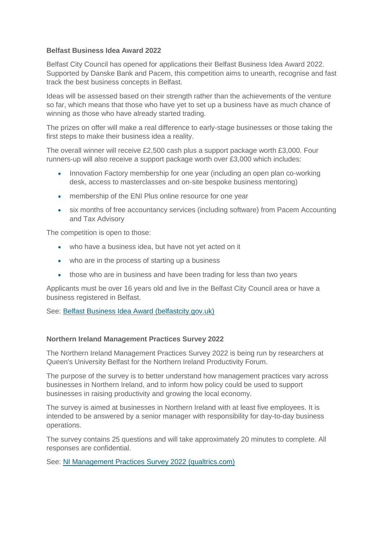# **Belfast Business Idea Award 2022**

Belfast City Council has opened for applications their Belfast Business Idea Award 2022. Supported by Danske Bank and Pacem, this competition aims to unearth, recognise and fast track the best business concepts in Belfast.

Ideas will be assessed based on their strength rather than the achievements of the venture so far, which means that those who have yet to set up a business have as much chance of winning as those who have already started trading.

The prizes on offer will make a real difference to early-stage businesses or those taking the first steps to make their business idea a reality.

The overall winner will receive £2,500 cash plus a support package worth £3,000. Four runners-up will also receive a support package worth over £3,000 which includes:

- Innovation Factory membership for one year (including an open plan co-working desk, access to masterclasses and on-site bespoke business mentoring)
- membership of the ENI Plus online resource for one year
- six months of free accountancy services (including software) from Pacem Accounting and Tax Advisory

The competition is open to those:

- who have a business idea, but have not yet acted on it
- who are in the process of starting up a business
- those who are in business and have been trading for less than two years

Applicants must be over 16 years old and live in the Belfast City Council area or have a business registered in Belfast.

See: [Belfast Business Idea Award \(belfastcity.gov.uk\)](https://www.belfastcity.gov.uk/ideaaward)

#### **Northern Ireland Management Practices Survey 2022**

The Northern Ireland Management Practices Survey 2022 is being run by researchers at Queen's University Belfast for the Northern Ireland Productivity Forum.

The purpose of the survey is to better understand how management practices vary across businesses in Northern Ireland, and to inform how policy could be used to support businesses in raising productivity and growing the local economy.

The survey is aimed at businesses in Northern Ireland with at least five employees. It is intended to be answered by a senior manager with responsibility for day-to-day business operations.

The survey contains 25 questions and will take approximately 20 minutes to complete. All responses are confidential.

See: [NI Management Practices Survey 2022 \(qualtrics.com\)](https://queensmanagement.fra1.qualtrics.com/jfe/form/SV_bjPOUAuE4hjOKoe)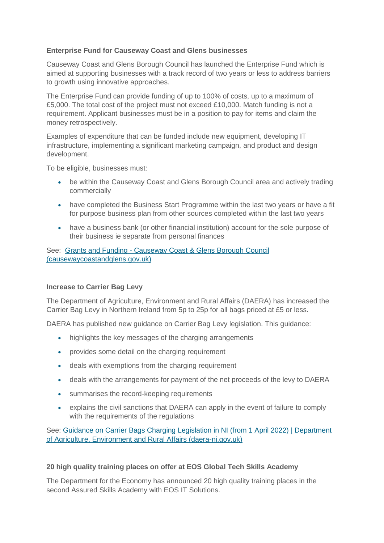# **Enterprise Fund for Causeway Coast and Glens businesses**

Causeway Coast and Glens Borough Council has launched the Enterprise Fund which is aimed at supporting businesses with a track record of two years or less to address barriers to growth using innovative approaches.

The Enterprise Fund can provide funding of up to 100% of costs, up to a maximum of £5,000. The total cost of the project must not exceed £10,000. Match funding is not a requirement. Applicant businesses must be in a position to pay for items and claim the money retrospectively.

Examples of expenditure that can be funded include new equipment, developing IT infrastructure, implementing a significant marketing campaign, and product and design development.

To be eligible, businesses must:

- be within the Causeway Coast and Glens Borough Council area and actively trading commercially
- have completed the Business Start Programme within the last two years or have a fit for purpose business plan from other sources completed within the last two years
- have a business bank (or other financial institution) account for the sole purpose of their business ie separate from personal finances

See: Grants and Funding - [Causeway Coast & Glens Borough Council](https://www.causewaycoastandglens.gov.uk/grantsandfunding)  [\(causewaycoastandglens.gov.uk\)](https://www.causewaycoastandglens.gov.uk/grantsandfunding)

## **Increase to Carrier Bag Levy**

The Department of Agriculture, Environment and Rural Affairs (DAERA) has increased the Carrier Bag Levy in Northern Ireland from 5p to 25p for all bags priced at £5 or less.

DAERA has published new guidance on Carrier Bag Levy legislation. This guidance:

- highlights the key messages of the charging arrangements
- provides some detail on the charging requirement
- deals with exemptions from the charging requirement
- deals with the arrangements for payment of the net proceeds of the levy to DAERA
- summarises the record-keeping requirements
- explains the civil sanctions that DAERA can apply in the event of failure to comply with the requirements of the regulations

See: [Guidance on Carrier Bags Charging Legislation in NI \(from 1 April 2022\) | Department](https://www.daera-ni.gov.uk/Guidance_on_Carrier_Bags_Charging_Legislation_in_NI)  [of Agriculture, Environment and Rural Affairs \(daera-ni.gov.uk\)](https://www.daera-ni.gov.uk/Guidance_on_Carrier_Bags_Charging_Legislation_in_NI)

#### **20 high quality training places on offer at EOS Global Tech Skills Academy**

The Department for the Economy has announced 20 high quality training places in the second Assured Skills Academy with EOS IT Solutions.